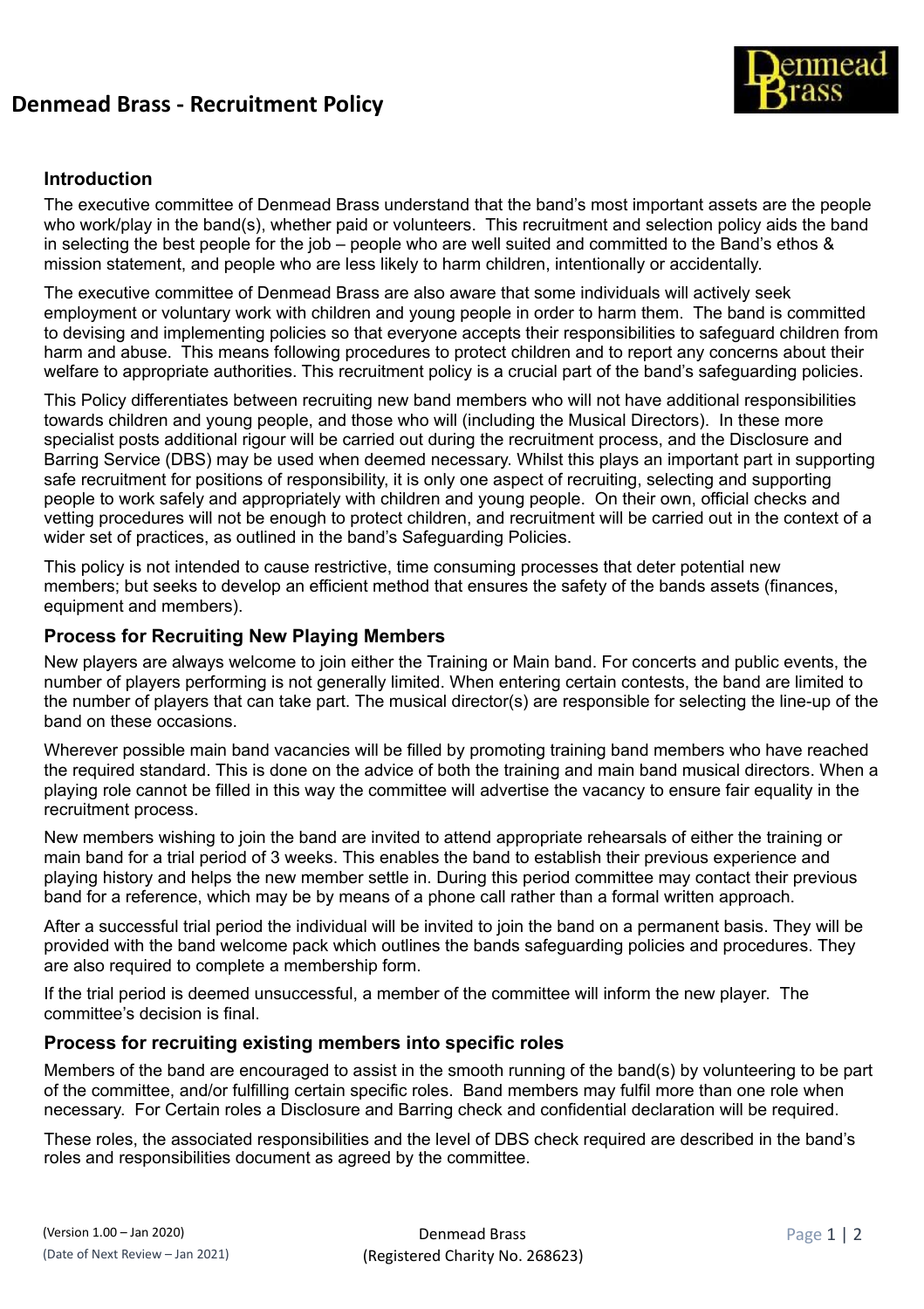## **Denmead Brass - Recruitment Policy**



### **Introduction**

The executive committee of Denmead Brass understand that the band's most important assets are the people who work/play in the band(s), whether paid or volunteers. This recruitment and selection policy aids the band in selecting the best people for the job – people who are well suited and committed to the Band's ethos & mission statement, and people who are less likely to harm children, intentionally or accidentally.

The executive committee of Denmead Brass are also aware that some individuals will actively seek employment or voluntary work with children and young people in order to harm them. The band is committed to devising and implementing policies so that everyone accepts their responsibilities to safeguard children from harm and abuse. This means following procedures to protect children and to report any concerns about their welfare to appropriate authorities. This recruitment policy is a crucial part of the band's safeguarding policies.

This Policy differentiates between recruiting new band members who will not have additional responsibilities towards children and young people, and those who will (including the Musical Directors). In these more specialist posts additional rigour will be carried out during the recruitment process, and the Disclosure and Barring Service (DBS) may be used when deemed necessary. Whilst this plays an important part in supporting safe recruitment for positions of responsibility, it is only one aspect of recruiting, selecting and supporting people to work safely and appropriately with children and young people. On their own, official checks and vetting procedures will not be enough to protect children, and recruitment will be carried out in the context of a wider set of practices, as outlined in the band's Safeguarding Policies.

This policy is not intended to cause restrictive, time consuming processes that deter potential new members; but seeks to develop an efficient method that ensures the safety of the bands assets (finances, equipment and members).

#### **Process for Recruiting New Playing Members**

New players are always welcome to join either the Training or Main band. For concerts and public events, the number of players performing is not generally limited. When entering certain contests, the band are limited to the number of players that can take part. The musical director(s) are responsible for selecting the line-up of the band on these occasions.

Wherever possible main band vacancies will be filled by promoting training band members who have reached the required standard. This is done on the advice of both the training and main band musical directors. When a playing role cannot be filled in this way the committee will advertise the vacancy to ensure fair equality in the recruitment process.

New members wishing to join the band are invited to attend appropriate rehearsals of either the training or main band for a trial period of 3 weeks. This enables the band to establish their previous experience and playing history and helps the new member settle in. During this period committee may contact their previous band for a reference, which may be by means of a phone call rather than a formal written approach.

After a successful trial period the individual will be invited to join the band on a permanent basis. They will be provided with the band welcome pack which outlines the bands safeguarding policies and procedures. They are also required to complete a membership form.

If the trial period is deemed unsuccessful, a member of the committee will inform the new player. The committee's decision is final.

### **Process for recruiting existing members into specific roles**

Members of the band are encouraged to assist in the smooth running of the band(s) by volunteering to be part of the committee, and/or fulfilling certain specific roles. Band members may fulfil more than one role when necessary. For Certain roles a Disclosure and Barring check and confidential declaration will be required.

These roles, the associated responsibilities and the level of DBS check required are described in the band's roles and responsibilities document as agreed by the committee.